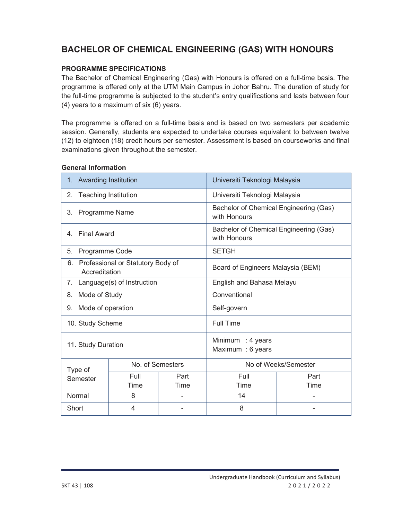# **BACHELOR OF CHEMICAL ENGINEERING (GAS) WITH HONOURS**

## **PROGRAMME SPECIFICATIONS**

The Bachelor of Chemical Engineering (Gas) with Honours is offered on a full-time basis. The programme is offered only at the UTM Main Campus in Johor Bahru. The duration of study for the full-time programme is subjected to the student's entry qualifications and lasts between four (4) years to a maximum of six (6) years.

The programme is offered on a full-time basis and is based on two semesters per academic session. Generally, students are expected to undertake courses equivalent to between twelve (12) to eighteen (18) credit hours per semester. Assessment is based on courseworks and final examinations given throughout the semester.

#### **General Information**

| <b>Awarding Institution</b><br>1.                              |                  |                                                        | Universiti Teknologi Malaysia |      |  |
|----------------------------------------------------------------|------------------|--------------------------------------------------------|-------------------------------|------|--|
| <b>Teaching Institution</b><br>2.                              |                  |                                                        | Universiti Teknologi Malaysia |      |  |
| <b>Programme Name</b><br>3.                                    |                  | Bachelor of Chemical Engineering (Gas)<br>with Honours |                               |      |  |
| <b>Final Award</b><br>4.                                       |                  | Bachelor of Chemical Engineering (Gas)<br>with Honours |                               |      |  |
| Programme Code<br>5.                                           |                  |                                                        | <b>SETGH</b>                  |      |  |
| Professional or Statutory Body of<br>6.<br>Accreditation       |                  | Board of Engineers Malaysia (BEM)                      |                               |      |  |
| Language(s) of Instruction<br>$7_{\scriptscriptstyle{\ddots}}$ |                  | English and Bahasa Melayu                              |                               |      |  |
| Mode of Study<br>8.                                            |                  | Conventional                                           |                               |      |  |
| Mode of operation<br>9.                                        |                  | Self-govern                                            |                               |      |  |
| 10. Study Scheme                                               |                  |                                                        | <b>Full Time</b>              |      |  |
| 11. Study Duration                                             |                  | Minimum : 4 years<br>Maximum : 6 years                 |                               |      |  |
| Type of                                                        | No. of Semesters |                                                        | No of Weeks/Semester          |      |  |
| Semester                                                       | Full             | Part                                                   | Full                          | Part |  |
|                                                                | Time             | Time                                                   | Time                          | Time |  |
| Normal                                                         | 8                |                                                        | 14                            |      |  |
| Short                                                          | 4                |                                                        | 8                             |      |  |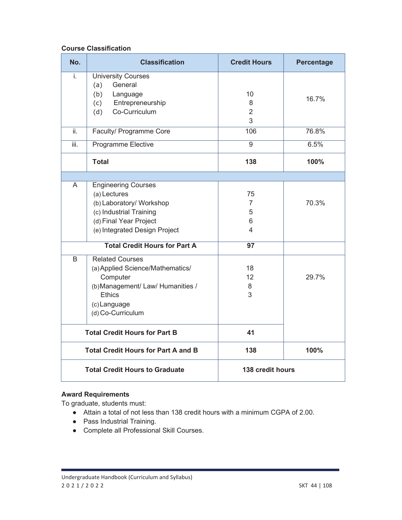## **Course Classification**

| No.  | <b>Classification</b>                                                                                                                                             | <b>Credit Hours</b>                 | <b>Percentage</b> |
|------|-------------------------------------------------------------------------------------------------------------------------------------------------------------------|-------------------------------------|-------------------|
| İ.   | <b>University Courses</b><br>General<br>(a)<br>(b)<br>Language<br>(c) Entrepreneurship<br>Co-Curriculum<br>(d)                                                    | 10<br>8<br>$\overline{2}$<br>3      | 16.7%             |
| ii.  | Faculty/ Programme Core                                                                                                                                           | 106                                 | 76.8%             |
| iii. | Programme Elective                                                                                                                                                | 9                                   | 6.5%              |
|      | <b>Total</b>                                                                                                                                                      | 138                                 | 100%              |
|      |                                                                                                                                                                   |                                     |                   |
| A    | <b>Engineering Courses</b><br>(a) Lectures<br>(b) Laboratory/ Workshop<br>(c) Industrial Training<br>(d) Final Year Project<br>(e) Integrated Design Project      | 75<br>$\overline{7}$<br>5<br>6<br>4 | 70.3%             |
|      | <b>Total Credit Hours for Part A</b>                                                                                                                              | 97                                  |                   |
| B    | <b>Related Courses</b><br>(a) Applied Science/Mathematics/<br>Computer<br>(b) Management/ Law/ Humanities /<br><b>Ethics</b><br>(c) Language<br>(d) Co-Curriculum | 18<br>12<br>8<br>3                  | 29.7%             |
|      | <b>Total Credit Hours for Part B</b>                                                                                                                              | 41                                  |                   |
|      | <b>Total Credit Hours for Part A and B</b>                                                                                                                        | 138                                 | 100%              |
|      | <b>Total Credit Hours to Graduate</b>                                                                                                                             | 138 credit hours                    |                   |

#### **Award Requirements**

To graduate, students must:

- Ɣ Attain a total of not less than 138 credit hours with a minimum CGPA of 2.00.
- Pass Industrial Training.
- Ɣ Complete all Professional Skill Courses.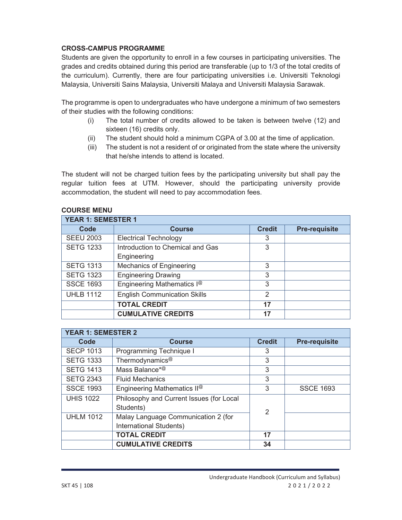#### **CROSS-CAMPUS PROGRAMME**

Students are given the opportunity to enroll in a few courses in participating universities. The grades and credits obtained during this period are transferable (up to 1/3 of the total credits of the curriculum). Currently, there are four participating universities i.e. Universiti Teknologi Malaysia, Universiti Sains Malaysia, Universiti Malaya and Universiti Malaysia Sarawak.

The programme is open to undergraduates who have undergone a minimum of two semesters of their studies with the following conditions:

- (i) The total number of credits allowed to be taken is between twelve (12) and sixteen (16) credits only.
- (ii) The student should hold a minimum CGPA of 3.00 at the time of application.
- (iii) The student is not a resident of or originated from the state where the university that he/she intends to attend is located.

The student will not be charged tuition fees by the participating university but shall pay the regular tuition fees at UTM. However, should the participating university provide accommodation, the student will need to pay accommodation fees.

| <b>YEAR 1: SEMESTER 1</b> |                                        |                |                      |  |
|---------------------------|----------------------------------------|----------------|----------------------|--|
| Code                      | <b>Course</b>                          | <b>Credit</b>  | <b>Pre-requisite</b> |  |
| <b>SEEU 2003</b>          | <b>Electrical Technology</b>           | 3              |                      |  |
| <b>SETG 1233</b>          | Introduction to Chemical and Gas       | 3              |                      |  |
|                           | Engineering                            |                |                      |  |
| <b>SETG 1313</b>          | <b>Mechanics of Engineering</b>        | 3              |                      |  |
| <b>SETG 1323</b>          | <b>Engineering Drawing</b>             | 3              |                      |  |
| <b>SSCE 1693</b>          | Engineering Mathematics I <sup>@</sup> | 3              |                      |  |
| <b>UHLB 1112</b>          | <b>English Communication Skills</b>    | $\mathfrak{p}$ |                      |  |
|                           | <b>TOTAL CREDIT</b>                    | 17             |                      |  |
|                           | <b>CUMULATIVE CREDITS</b>              | 17             |                      |  |

#### **COURSE MENU**

| <b>YEAR 1: SEMESTER 2</b> |                                                                |                |                      |  |
|---------------------------|----------------------------------------------------------------|----------------|----------------------|--|
| Code                      | <b>Course</b>                                                  | <b>Credit</b>  | <b>Pre-requisite</b> |  |
| <b>SECP 1013</b>          | Programming Technique I                                        | 3              |                      |  |
| <b>SETG 1333</b>          | Thermodynamics <sup>@</sup>                                    | 3              |                      |  |
| <b>SETG 1413</b>          | Mass Balance* <sup>@</sup>                                     | 3              |                      |  |
| <b>SETG 2343</b>          | <b>Fluid Mechanics</b>                                         | 3              |                      |  |
| <b>SSCE 1993</b>          | Engineering Mathematics II <sup>@</sup>                        | 3              | <b>SSCE 1693</b>     |  |
| <b>UHIS 1022</b>          | Philosophy and Current Issues (for Local<br>Students)          |                |                      |  |
| <b>UHLM 1012</b>          | Malay Language Communication 2 (for<br>International Students) | $\mathfrak{p}$ |                      |  |
|                           | <b>TOTAL CREDIT</b>                                            | 17             |                      |  |
|                           | <b>CUMULATIVE CREDITS</b>                                      | 34             |                      |  |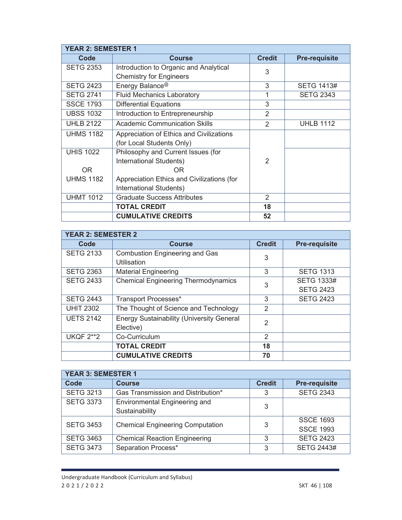| <b>YEAR 2: SEMESTER 1</b> |                                            |               |                      |
|---------------------------|--------------------------------------------|---------------|----------------------|
| Code                      | <b>Course</b>                              | <b>Credit</b> | <b>Pre-requisite</b> |
| <b>SETG 2353</b>          | Introduction to Organic and Analytical     | 3             |                      |
|                           | <b>Chemistry for Engineers</b>             |               |                      |
| <b>SETG 2423</b>          | Energy Balance <sup>@</sup>                | 3             | <b>SETG 1413#</b>    |
| <b>SETG 2741</b>          | <b>Fluid Mechanics Laboratory</b>          |               | <b>SETG 2343</b>     |
| <b>SSCE 1793</b>          | <b>Differential Equations</b>              | 3             |                      |
| <b>UBSS 1032</b>          | Introduction to Entrepreneurship           | 2             |                      |
| <b>UHLB 2122</b>          | <b>Academic Communication Skills</b>       | 2             | <b>UHLB 1112</b>     |
| <b>UHMS 1182</b>          | Appreciation of Ethics and Civilizations   |               |                      |
|                           | (for Local Students Only)                  |               |                      |
| <b>UHIS 1022</b>          | Philosophy and Current Issues (for         |               |                      |
|                           | International Students)                    | $\mathcal{P}$ |                      |
| OR.                       | 0 <sub>R</sub>                             |               |                      |
| <b>UHMS 1182</b>          | Appreciation Ethics and Civilizations (for |               |                      |
|                           | International Students)                    |               |                      |
| <b>UHMT 1012</b>          | <b>Graduate Success Attributes</b>         | 2             |                      |
|                           | <b>TOTAL CREDIT</b>                        | 18            |                      |
|                           | <b>CUMULATIVE CREDITS</b>                  | 52            |                      |

| <b>YEAR 2: SEMESTER 2</b> |                                                  |                |                      |  |
|---------------------------|--------------------------------------------------|----------------|----------------------|--|
| Code                      | <b>Course</b>                                    | <b>Credit</b>  | <b>Pre-requisite</b> |  |
| <b>SETG 2133</b>          | <b>Combustion Engineering and Gas</b>            | 3              |                      |  |
|                           | Utilisation                                      |                |                      |  |
| <b>SETG 2363</b>          | <b>Material Engineering</b>                      | 3              | <b>SETG 1313</b>     |  |
| <b>SETG 2433</b>          | <b>Chemical Engineering Thermodynamics</b>       | 3              | <b>SETG 1333#</b>    |  |
|                           |                                                  |                | <b>SETG 2423</b>     |  |
| <b>SETG 2443</b>          | Transport Processes*                             | 3              | <b>SETG 2423</b>     |  |
| <b>UHIT 2302</b>          | The Thought of Science and Technology            | 2              |                      |  |
| <b>UETS 2142</b>          | <b>Energy Sustainability (University General</b> | $\overline{2}$ |                      |  |
|                           | Elective)                                        |                |                      |  |
| <b>UKQF 2**2</b>          | Co-Curriculum                                    | $\mathfrak{D}$ |                      |  |
|                           | <b>TOTAL CREDIT</b>                              | 18             |                      |  |
|                           | <b>CUMULATIVE CREDITS</b>                        | 70             |                      |  |

| <b>YEAR 3: SEMESTER 1</b> |                                         |               |                      |  |
|---------------------------|-----------------------------------------|---------------|----------------------|--|
| Code                      | <b>Course</b>                           | <b>Credit</b> | <b>Pre-requisite</b> |  |
| <b>SETG 3213</b>          | Gas Transmission and Distribution*      | 3             | <b>SETG 2343</b>     |  |
| <b>SETG 3373</b>          | Environmental Engineering and           | 3             |                      |  |
|                           | Sustainability                          |               |                      |  |
| <b>SETG 3453</b>          | <b>Chemical Engineering Computation</b> |               | <b>SSCE 1693</b>     |  |
|                           |                                         | 3             | <b>SSCE 1993</b>     |  |
| <b>SETG 3463</b>          | <b>Chemical Reaction Engineering</b>    | 3             | <b>SETG 2423</b>     |  |
| <b>SETG 3473</b>          | Separation Process*                     | 3             | <b>SETG 2443#</b>    |  |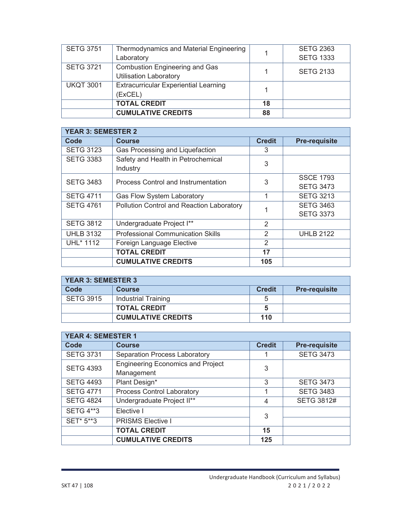| <b>SETG 3751</b> | Thermodynamics and Material Engineering<br>Laboratory                  |    | <b>SETG 2363</b><br><b>SETG 1333</b> |
|------------------|------------------------------------------------------------------------|----|--------------------------------------|
| <b>SETG 3721</b> | <b>Combustion Engineering and Gas</b><br><b>Utilisation Laboratory</b> |    | <b>SETG 2133</b>                     |
| <b>UKQT 3001</b> | <b>Extracurricular Experiential Learning</b><br>(ExCEL)                |    |                                      |
|                  | <b>TOTAL CREDIT</b>                                                    | 18 |                                      |
|                  | <b>CUMULATIVE CREDITS</b>                                              | 88 |                                      |

| <b>YEAR 3: SEMESTER 2</b> |                                                |               |                      |
|---------------------------|------------------------------------------------|---------------|----------------------|
| Code                      | <b>Course</b>                                  | <b>Credit</b> | <b>Pre-requisite</b> |
| <b>SETG 3123</b>          | Gas Processing and Liquefaction                | 3             |                      |
| <b>SETG 3383</b>          | Safety and Health in Petrochemical<br>Industry | 3             |                      |
| <b>SETG 3483</b>          | Process Control and Instrumentation            | 3             | <b>SSCE 1793</b>     |
|                           |                                                |               | <b>SETG 3473</b>     |
| <b>SETG 4711</b>          | Gas Flow System Laboratory                     | 1             | <b>SETG 3213</b>     |
| <b>SETG 4761</b>          | Pollution Control and Reaction Laboratory      |               | <b>SETG 3463</b>     |
|                           |                                                |               | <b>SETG 3373</b>     |
| <b>SETG 3812</b>          | Undergraduate Project I**                      | 2             |                      |
| <b>UHLB 3132</b>          | <b>Professional Communication Skills</b>       | 2             | <b>UHLB 2122</b>     |
| UHL* 1112                 | Foreign Language Elective                      | 2             |                      |
|                           | <b>TOTAL CREDIT</b>                            | 17            |                      |
|                           | <b>CUMULATIVE CREDITS</b>                      | 105           |                      |

| <b>YEAR 3: SEMESTER 3</b> |                           |               |                      |  |
|---------------------------|---------------------------|---------------|----------------------|--|
| Code                      | <b>Course</b>             | <b>Credit</b> | <b>Pre-requisite</b> |  |
| <b>SETG 3915</b>          | Industrial Training       |               |                      |  |
|                           | <b>TOTAL CREDIT</b>       |               |                      |  |
|                           | <b>CUMULATIVE CREDITS</b> | 110           |                      |  |

| <b>YEAR 4: SEMESTER 1</b> |                                          |                |                      |  |
|---------------------------|------------------------------------------|----------------|----------------------|--|
| Code                      | <b>Course</b>                            | <b>Credit</b>  | <b>Pre-requisite</b> |  |
| <b>SETG 3731</b>          | <b>Separation Process Laboratory</b>     |                | <b>SETG 3473</b>     |  |
| <b>SETG 4393</b>          | <b>Engineering Economics and Project</b> | 3              |                      |  |
|                           | Management                               |                |                      |  |
| <b>SETG 4493</b>          | Plant Design*                            | 3              | <b>SETG 3473</b>     |  |
| <b>SETG 4771</b>          | <b>Process Control Laboratory</b>        |                | <b>SETG 3483</b>     |  |
| <b>SETG 4824</b>          | Undergraduate Project II**               | $\overline{4}$ | <b>SETG 3812#</b>    |  |
| <b>SETG 4**3</b>          | Elective I                               | 3              |                      |  |
| SET* 5**3                 | <b>PRISMS Elective I</b>                 |                |                      |  |
|                           | <b>TOTAL CREDIT</b>                      | 15             |                      |  |
|                           | <b>CUMULATIVE CREDITS</b>                | 125            |                      |  |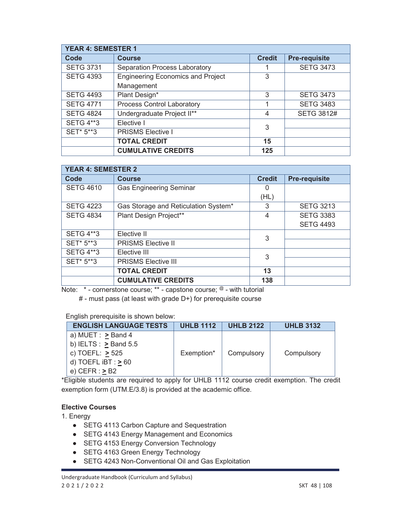| <b>YEAR 4: SEMESTER 1</b> |                                          |               |                      |  |
|---------------------------|------------------------------------------|---------------|----------------------|--|
| Code                      | <b>Course</b>                            | <b>Credit</b> | <b>Pre-requisite</b> |  |
| <b>SETG 3731</b>          | <b>Separation Process Laboratory</b>     |               | <b>SETG 3473</b>     |  |
| <b>SETG 4393</b>          | <b>Engineering Economics and Project</b> | 3             |                      |  |
|                           | Management                               |               |                      |  |
| <b>SETG 4493</b>          | Plant Design*                            | 3             | <b>SETG 3473</b>     |  |
| <b>SETG 4771</b>          | <b>Process Control Laboratory</b>        |               | <b>SETG 3483</b>     |  |
| <b>SETG 4824</b>          | Undergraduate Project II**               | 4             | <b>SETG 3812#</b>    |  |
| <b>SETG 4**3</b>          | Elective I                               | 3             |                      |  |
| SET* 5**3                 | <b>PRISMS Elective I</b>                 |               |                      |  |
|                           | <b>TOTAL CREDIT</b>                      | 15            |                      |  |
|                           | <b>CUMULATIVE CREDITS</b>                | 125           |                      |  |

| <b>YEAR 4: SEMESTER 2</b> |                                      |               |                      |  |  |
|---------------------------|--------------------------------------|---------------|----------------------|--|--|
| Code                      | <b>Course</b>                        | <b>Credit</b> | <b>Pre-requisite</b> |  |  |
| <b>SETG 4610</b>          | <b>Gas Engineering Seminar</b>       | O             |                      |  |  |
|                           |                                      | (HL)          |                      |  |  |
| <b>SETG 4223</b>          | Gas Storage and Reticulation System* | 3             | <b>SETG 3213</b>     |  |  |
| <b>SETG 4834</b>          | Plant Design Project**               | 4             | <b>SETG 3383</b>     |  |  |
|                           |                                      |               | <b>SETG 4493</b>     |  |  |
| <b>SETG 4**3</b>          | Elective II                          | 3             |                      |  |  |
| SET* 5**3                 | <b>PRISMS Elective II</b>            |               |                      |  |  |
| <b>SETG 4**3</b>          | Elective III                         | 3             |                      |  |  |
| SET* 5**3                 | <b>PRISMS Elective III</b>           |               |                      |  |  |
|                           | <b>TOTAL CREDIT</b>                  | 13            |                      |  |  |
|                           | <b>CUMULATIVE CREDITS</b>            | 138           |                      |  |  |

Note: \* - cornerstone course; \*\* - capstone course; @ - with tutorial

# - must pass (at least with grade D+) for prerequisite course

English prerequisite is shown below:

| <b>ENGLISH LANGUAGE TESTS</b> | <b>UHLB 1112</b> | <b>UHLB 2122</b> | <b>UHLB 3132</b> |
|-------------------------------|------------------|------------------|------------------|
| a) MUET : $\geq$ Band 4       |                  |                  |                  |
| b) IELTS : $>$ Band 5.5       |                  |                  |                  |
| c) TOEFL: <u>&gt;</u> 525     | Exemption*       | Compulsory       | Compulsory       |
| d) TOEFL $iBT : > 60$         |                  |                  |                  |
| e) CEFR : <u>&gt;</u> B2      |                  |                  |                  |

\*Eligible students are required to apply for UHLB 1112 course credit exemption. The credit exemption form (UTM.E/3.8) is provided at the academic office.

## **Elective Courses**

1. Energy

- SETG 4113 Carbon Capture and Sequestration
- SETG 4143 Energy Management and Economics
- SETG 4153 Energy Conversion Technology
- SETG 4163 Green Energy Technology
- SETG 4243 Non-Conventional Oil and Gas Exploitation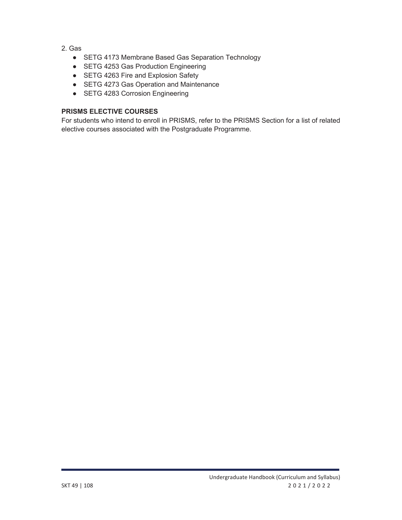- 2. Gas
	- SETG 4173 Membrane Based Gas Separation Technology
	- SETG 4253 Gas Production Engineering
	- SETG 4263 Fire and Explosion Safety
	- SETG 4273 Gas Operation and Maintenance
	- SETG 4283 Corrosion Engineering

#### **PRISMS ELECTIVE COURSES**

For students who intend to enroll in PRISMS, refer to the PRISMS Section for a list of related elective courses associated with the Postgraduate Programme.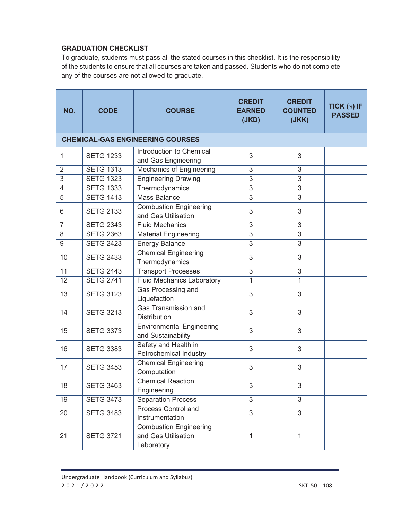## **GRADUATION CHECKLIST**

To graduate, students must pass all the stated courses in this checklist. It is the responsibility of the students to ensure that all courses are taken and passed. Students who do not complete any of the courses are not allowed to graduate.

| NO.            | <b>CODE</b>      | <b>COURSE</b>                                                      | <b>CREDIT</b><br><b>EARNED</b><br>(JKD) | <b>CREDIT</b><br><b>COUNTED</b><br>(JKK) | TICK $(\sqrt{})$ IF<br><b>PASSED</b> |
|----------------|------------------|--------------------------------------------------------------------|-----------------------------------------|------------------------------------------|--------------------------------------|
|                |                  | <b>CHEMICAL-GAS ENGINEERING COURSES</b>                            |                                         |                                          |                                      |
| 1              | <b>SETG 1233</b> | Introduction to Chemical<br>and Gas Engineering                    | 3                                       | 3                                        |                                      |
| $\overline{2}$ | <b>SETG 1313</b> | <b>Mechanics of Engineering</b>                                    | 3                                       | 3                                        |                                      |
| $\overline{3}$ | <b>SETG 1323</b> | <b>Engineering Drawing</b>                                         | $\overline{3}$                          | $\overline{3}$                           |                                      |
| $\overline{4}$ | <b>SETG 1333</b> | Thermodynamics                                                     | $\overline{3}$                          | $\overline{3}$                           |                                      |
| $\overline{5}$ | <b>SETG 1413</b> | <b>Mass Balance</b>                                                | $\overline{3}$                          | $\overline{3}$                           |                                      |
| 6              | <b>SETG 2133</b> | <b>Combustion Engineering</b><br>and Gas Utilisation               | 3                                       | 3                                        |                                      |
| $\overline{7}$ | <b>SETG 2343</b> | <b>Fluid Mechanics</b>                                             | $\overline{3}$                          | 3                                        |                                      |
| 8              | <b>SETG 2363</b> | <b>Material Engineering</b>                                        | $\overline{3}$                          | $\overline{3}$                           |                                      |
| $\overline{9}$ | <b>SETG 2423</b> | <b>Energy Balance</b>                                              | $\overline{3}$                          | $\overline{3}$                           |                                      |
| 10             | <b>SETG 2433</b> | <b>Chemical Engineering</b><br>Thermodynamics                      | 3                                       | 3                                        |                                      |
| 11             | <b>SETG 2443</b> | <b>Transport Processes</b>                                         | $\overline{3}$                          | $\overline{3}$                           |                                      |
| 12             | <b>SETG 2741</b> | <b>Fluid Mechanics Laboratory</b>                                  | $\overline{1}$                          | 1                                        |                                      |
| 13             | <b>SETG 3123</b> | Gas Processing and<br>Liquefaction                                 | 3                                       | 3                                        |                                      |
| 14             | <b>SETG 3213</b> | Gas Transmission and<br><b>Distribution</b>                        | 3                                       | 3                                        |                                      |
| 15             | <b>SETG 3373</b> | <b>Environmental Engineering</b><br>and Sustainability             | 3                                       | 3                                        |                                      |
| 16             | <b>SETG 3383</b> | Safety and Health in<br>Petrochemical Industry                     | 3                                       | 3                                        |                                      |
| 17             | <b>SETG 3453</b> | <b>Chemical Engineering</b><br>Computation                         | 3                                       | 3                                        |                                      |
| 18             | <b>SETG 3463</b> | <b>Chemical Reaction</b><br>Engineering                            | 3                                       | 3                                        |                                      |
| 19             | <b>SETG 3473</b> | <b>Separation Process</b>                                          | $\overline{3}$                          | $\overline{3}$                           |                                      |
| 20             | <b>SETG 3483</b> | Process Control and<br>Instrumentation                             | 3                                       | 3                                        |                                      |
| 21             | <b>SETG 3721</b> | <b>Combustion Engineering</b><br>and Gas Utilisation<br>Laboratory | 1                                       | 1                                        |                                      |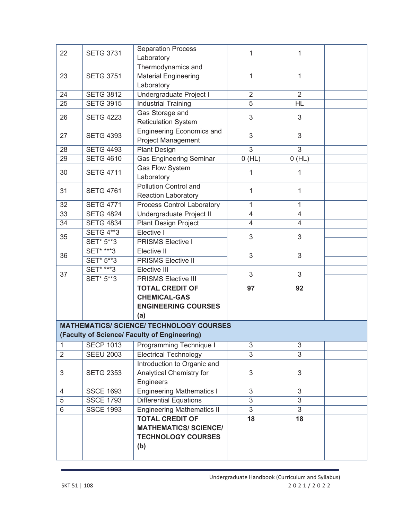| 22             | <b>SETG 3731</b> | <b>Separation Process</b><br>Laboratory                                                    | 1              | 1              |  |
|----------------|------------------|--------------------------------------------------------------------------------------------|----------------|----------------|--|
| 23             | <b>SETG 3751</b> | Thermodynamics and<br><b>Material Engineering</b><br>Laboratory                            | 1              | 1              |  |
| 24             | <b>SETG 3812</b> | Undergraduate Project I                                                                    | $\overline{2}$ | $\overline{2}$ |  |
| 25             | <b>SETG 3915</b> | <b>Industrial Training</b>                                                                 | $\overline{5}$ | HL             |  |
| 26             | <b>SETG 4223</b> | Gas Storage and<br><b>Reticulation System</b>                                              | 3              | 3              |  |
| 27             | <b>SETG 4393</b> | <b>Engineering Economics and</b><br><b>Project Management</b>                              | 3              | 3              |  |
| 28             | <b>SETG 4493</b> | <b>Plant Design</b>                                                                        | $\overline{3}$ | 3              |  |
| 29             | <b>SETG 4610</b> | <b>Gas Engineering Seminar</b>                                                             | 0(HL)          | 0(HL)          |  |
| 30             | <b>SETG 4711</b> | Gas Flow System<br>Laboratory                                                              | 1              | 1              |  |
| 31             | <b>SETG 4761</b> | <b>Pollution Control and</b><br>Reaction Laboratory                                        | 1              | $\mathbf 1$    |  |
| 32             | <b>SETG 4771</b> | <b>Process Control Laboratory</b>                                                          | 1              | $\mathbf{1}$   |  |
| 33             | <b>SETG 4824</b> | Undergraduate Project II                                                                   | $\overline{4}$ | 4              |  |
| 34             | <b>SETG 4834</b> | <b>Plant Design Project</b>                                                                | $\overline{4}$ | $\overline{4}$ |  |
| 35             | <b>SETG 4**3</b> | Elective I                                                                                 | 3              | 3              |  |
|                | SET* 5**3        | <b>PRISMS Elective I</b>                                                                   |                |                |  |
| 36             | <b>SET* ***3</b> | Elective II                                                                                | 3              | 3              |  |
|                | SET* 5**3        | <b>PRISMS Elective II</b>                                                                  |                |                |  |
| 37             | <b>SET* ***3</b> | Elective III                                                                               | 3              | 3              |  |
|                | <b>SET* 5**3</b> | <b>PRISMS Elective III</b>                                                                 |                |                |  |
|                |                  | <b>TOTAL CREDIT OF</b>                                                                     | 97             | 92             |  |
|                |                  | <b>CHEMICAL-GAS</b>                                                                        |                |                |  |
|                |                  | <b>ENGINEERING COURSES</b>                                                                 |                |                |  |
|                |                  | (a)                                                                                        |                |                |  |
|                |                  | <b>MATHEMATICS/ SCIENCE/ TECHNOLOGY COURSES</b>                                            |                |                |  |
|                |                  | (Faculty of Science/ Faculty of Engineering)                                               |                |                |  |
| 1              | <b>SECP 1013</b> | Programming Technique I                                                                    | 3              | 3              |  |
| $\overline{2}$ | <b>SEEU 2003</b> | <b>Electrical Technology</b>                                                               | 3              | 3              |  |
|                |                  | Introduction to Organic and                                                                |                |                |  |
| 3              | <b>SETG 2353</b> | Analytical Chemistry for                                                                   | 3              | 3              |  |
|                |                  | Engineers                                                                                  |                |                |  |
| 4              | <b>SSCE 1693</b> | <b>Engineering Mathematics I</b>                                                           | 3              | 3              |  |
| 5              | <b>SSCE 1793</b> | <b>Differential Equations</b>                                                              | 3              | 3              |  |
| 6              | <b>SSCE 1993</b> | <b>Engineering Mathematics II</b>                                                          | 3              | 3              |  |
|                |                  | <b>TOTAL CREDIT OF</b><br><b>MATHEMATICS/ SCIENCE/</b><br><b>TECHNOLOGY COURSES</b><br>(b) | 18             | 18             |  |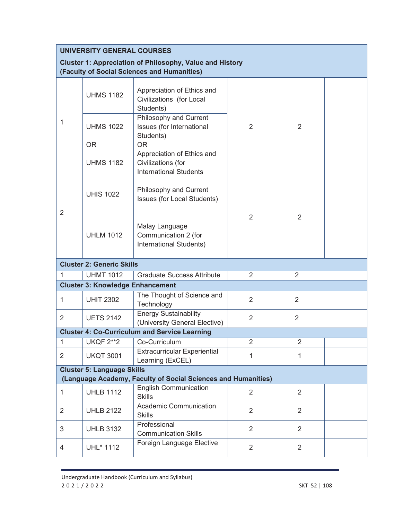|                                                               | <b>UNIVERSITY GENERAL COURSES</b>                                                                              |                                                                                   |                |                |  |  |
|---------------------------------------------------------------|----------------------------------------------------------------------------------------------------------------|-----------------------------------------------------------------------------------|----------------|----------------|--|--|
|                                                               | <b>Cluster 1: Appreciation of Philosophy, Value and History</b><br>(Faculty of Social Sciences and Humanities) |                                                                                   |                |                |  |  |
|                                                               | <b>UHMS 1182</b>                                                                                               | Appreciation of Ethics and<br>Civilizations (for Local<br>Students)               |                |                |  |  |
| 1                                                             | <b>UHMS 1022</b>                                                                                               | Philosophy and Current<br>Issues (for International<br>Students)                  | $\overline{2}$ | $\overline{2}$ |  |  |
|                                                               | <b>OR</b>                                                                                                      | <b>OR</b>                                                                         |                |                |  |  |
|                                                               | <b>UHMS 1182</b>                                                                                               | Appreciation of Ethics and<br>Civilizations (for<br><b>International Students</b> |                |                |  |  |
|                                                               | <b>UHIS 1022</b>                                                                                               | Philosophy and Current<br>Issues (for Local Students)                             | $\overline{2}$ | $\overline{2}$ |  |  |
| $\overline{2}$                                                | <b>UHLM 1012</b>                                                                                               | Malay Language<br>Communication 2 (for<br>International Students)                 |                |                |  |  |
|                                                               | <b>Cluster 2: Generic Skills</b>                                                                               |                                                                                   |                |                |  |  |
| 1                                                             | <b>UHMT 1012</b>                                                                                               | <b>Graduate Success Attribute</b>                                                 | $\overline{2}$ | 2              |  |  |
|                                                               | <b>Cluster 3: Knowledge Enhancement</b>                                                                        |                                                                                   |                |                |  |  |
| 1                                                             | <b>UHIT 2302</b>                                                                                               | The Thought of Science and<br>Technology                                          | $\overline{2}$ | $\overline{2}$ |  |  |
| $\overline{2}$                                                | <b>UETS 2142</b>                                                                                               | <b>Energy Sustainability</b><br>(University General Elective)                     | $\overline{2}$ | $\overline{2}$ |  |  |
|                                                               |                                                                                                                | <b>Cluster 4: Co-Curriculum and Service Learning</b>                              |                |                |  |  |
| 1                                                             | <b>UKQF 2**2</b>                                                                                               | Co-Curriculum                                                                     | $\overline{2}$ | $\overline{2}$ |  |  |
| $\overline{2}$                                                | <b>UKQT 3001</b>                                                                                               | <b>Extracurricular Experiential</b><br>Learning (ExCEL)                           | 1              | 1              |  |  |
| <b>Cluster 5: Language Skills</b>                             |                                                                                                                |                                                                                   |                |                |  |  |
| (Language Academy, Faculty of Social Sciences and Humanities) |                                                                                                                |                                                                                   |                |                |  |  |
| 1                                                             | <b>UHLB 1112</b>                                                                                               | <b>English Communication</b><br><b>Skills</b>                                     | $\overline{2}$ | $\overline{2}$ |  |  |
| $\overline{2}$                                                | <b>UHLB 2122</b>                                                                                               | Academic Communication<br><b>Skills</b>                                           | $\overline{2}$ | $\overline{2}$ |  |  |
| 3                                                             | <b>UHLB 3132</b>                                                                                               | Professional<br><b>Communication Skills</b>                                       | $\overline{2}$ | $\overline{2}$ |  |  |
| 4                                                             | UHL* 1112                                                                                                      | Foreign Language Elective                                                         | $\overline{2}$ | $\overline{2}$ |  |  |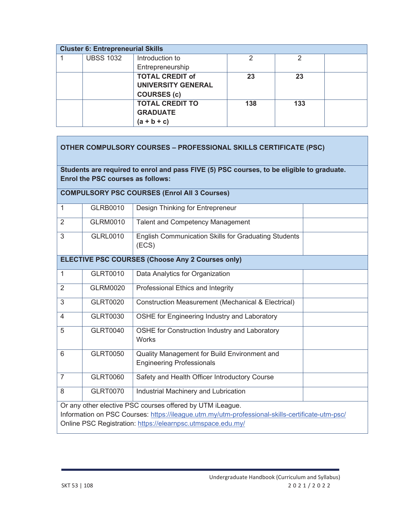| <b>Cluster 6: Entrepreneurial Skills</b> |                  |                           |     |     |  |
|------------------------------------------|------------------|---------------------------|-----|-----|--|
|                                          | <b>UBSS 1032</b> | Introduction to           | ⌒   | ႒   |  |
|                                          |                  | Entrepreneurship          |     |     |  |
|                                          |                  | <b>TOTAL CREDIT of</b>    | 23  | 23  |  |
|                                          |                  | <b>UNIVERSITY GENERAL</b> |     |     |  |
|                                          |                  | <b>COURSES (c)</b>        |     |     |  |
|                                          |                  | <b>TOTAL CREDIT TO</b>    | 138 | 133 |  |
|                                          |                  | <b>GRADUATE</b>           |     |     |  |
|                                          |                  | (a + b + c)               |     |     |  |

| <b>OTHER COMPULSORY COURSES - PROFESSIONAL SKILLS CERTIFICATE (PSC)</b> |                                                                                                                                       |                                                                                                                                                                                                                             |  |  |  |  |
|-------------------------------------------------------------------------|---------------------------------------------------------------------------------------------------------------------------------------|-----------------------------------------------------------------------------------------------------------------------------------------------------------------------------------------------------------------------------|--|--|--|--|
|                                                                         | Students are required to enrol and pass FIVE (5) PSC courses, to be eligible to graduate.<br><b>Enrol the PSC courses as follows:</b> |                                                                                                                                                                                                                             |  |  |  |  |
|                                                                         |                                                                                                                                       | <b>COMPULSORY PSC COURSES (Enrol All 3 Courses)</b>                                                                                                                                                                         |  |  |  |  |
| $\mathbf{1}$                                                            | <b>GLRB0010</b>                                                                                                                       | Design Thinking for Entrepreneur                                                                                                                                                                                            |  |  |  |  |
| $\overline{2}$                                                          | <b>GLRM0010</b>                                                                                                                       | <b>Talent and Competency Management</b>                                                                                                                                                                                     |  |  |  |  |
| 3                                                                       | <b>GLRL0010</b>                                                                                                                       | <b>English Communication Skills for Graduating Students</b><br>(ECS)                                                                                                                                                        |  |  |  |  |
|                                                                         |                                                                                                                                       | <b>ELECTIVE PSC COURSES (Choose Any 2 Courses only)</b>                                                                                                                                                                     |  |  |  |  |
| $\mathbf{1}$                                                            | <b>GLRT0010</b>                                                                                                                       | Data Analytics for Organization                                                                                                                                                                                             |  |  |  |  |
| $\overline{2}$                                                          | <b>GLRM0020</b>                                                                                                                       | Professional Ethics and Integrity                                                                                                                                                                                           |  |  |  |  |
| 3                                                                       | <b>GLRT0020</b>                                                                                                                       | <b>Construction Measurement (Mechanical &amp; Electrical)</b>                                                                                                                                                               |  |  |  |  |
| $\overline{4}$                                                          | <b>GLRT0030</b>                                                                                                                       | OSHE for Engineering Industry and Laboratory                                                                                                                                                                                |  |  |  |  |
| 5                                                                       | <b>GLRT0040</b>                                                                                                                       | OSHE for Construction Industry and Laboratory<br><b>Works</b>                                                                                                                                                               |  |  |  |  |
| 6                                                                       | <b>GLRT0050</b>                                                                                                                       | Quality Management for Build Environment and<br><b>Engineering Professionals</b>                                                                                                                                            |  |  |  |  |
| $\overline{7}$                                                          | <b>GLRT0060</b>                                                                                                                       | Safety and Health Officer Introductory Course                                                                                                                                                                               |  |  |  |  |
| 8                                                                       | <b>GLRT0070</b>                                                                                                                       | Industrial Machinery and Lubrication                                                                                                                                                                                        |  |  |  |  |
|                                                                         |                                                                                                                                       | Or any other elective PSC courses offered by UTM iLeague.<br>Information on PSC Courses: https://ileague.utm.my/utm-professional-skills-certificate-utm-psc/<br>Online PSC Registration: https://elearnpsc.utmspace.edu.my/ |  |  |  |  |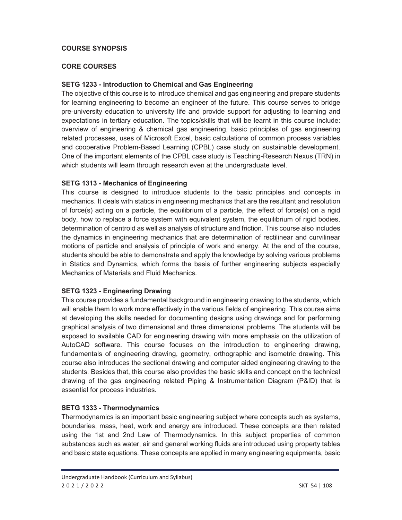#### **COURSE SYNOPSIS**

#### **CORE COURSES**

#### **SETG 1233 - Introduction to Chemical and Gas Engineering**

The objective of this course is to introduce chemical and gas engineering and prepare students for learning engineering to become an engineer of the future. This course serves to bridge pre-university education to university life and provide support for adjusting to learning and expectations in tertiary education. The topics/skills that will be learnt in this course include: overview of engineering & chemical gas engineering, basic principles of gas engineering related processes, uses of Microsoft Excel, basic calculations of common process variables and cooperative Problem-Based Learning (CPBL) case study on sustainable development. One of the important elements of the CPBL case study is Teaching-Research Nexus (TRN) in which students will learn through research even at the undergraduate level.

#### **SETG 1313 - Mechanics of Engineering**

This course is designed to introduce students to the basic principles and concepts in mechanics. It deals with statics in engineering mechanics that are the resultant and resolution of force(s) acting on a particle, the equilibrium of a particle, the effect of force(s) on a rigid body, how to replace a force system with equivalent system, the equilibrium of rigid bodies, determination of centroid as well as analysis of structure and friction. This course also includes the dynamics in engineering mechanics that are determination of rectilinear and curvilinear motions of particle and analysis of principle of work and energy. At the end of the course, students should be able to demonstrate and apply the knowledge by solving various problems in Statics and Dynamics, which forms the basis of further engineering subjects especially Mechanics of Materials and Fluid Mechanics.

## **SETG 1323 - Engineering Drawing**

This course provides a fundamental background in engineering drawing to the students, which will enable them to work more effectively in the various fields of engineering. This course aims at developing the skills needed for documenting designs using drawings and for performing graphical analysis of two dimensional and three dimensional problems. The students will be exposed to available CAD for engineering drawing with more emphasis on the utilization of AutoCAD software. This course focuses on the introduction to engineering drawing, fundamentals of engineering drawing, geometry, orthographic and isometric drawing. This course also introduces the sectional drawing and computer aided engineering drawing to the students. Besides that, this course also provides the basic skills and concept on the technical drawing of the gas engineering related Piping & Instrumentation Diagram (P&ID) that is essential for process industries.

#### **SETG 1333 - Thermodynamics**

Thermodynamics is an important basic engineering subject where concepts such as systems, boundaries, mass, heat, work and energy are introduced. These concepts are then related using the 1st and 2nd Law of Thermodynamics. In this subject properties of common substances such as water, air and general working fluids are introduced using property tables and basic state equations. These concepts are applied in many engineering equipments, basic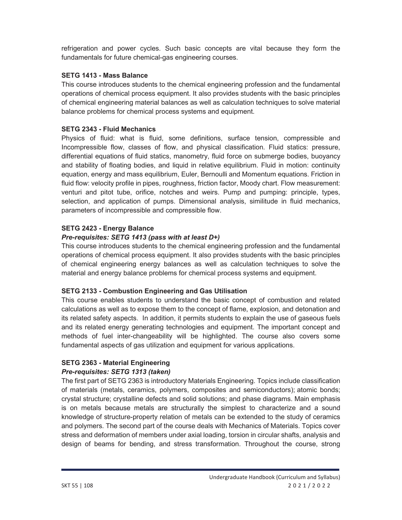refrigeration and power cycles. Such basic concepts are vital because they form the fundamentals for future chemical-gas engineering courses.

#### **SETG 1413 - Mass Balance**

This course introduces students to the chemical engineering profession and the fundamental operations of chemical process equipment. It also provides students with the basic principles of chemical engineering material balances as well as calculation techniques to solve material balance problems for chemical process systems and equipment.

#### **SETG 2343 - Fluid Mechanics**

Physics of fluid: what is fluid, some definitions, surface tension, compressible and Incompressible flow, classes of flow, and physical classification. Fluid statics: pressure, differential equations of fluid statics, manometry, fluid force on submerge bodies, buoyancy and stability of floating bodies, and liquid in relative equilibrium. Fluid in motion: continuity equation, energy and mass equilibrium, Euler, Bernoulli and Momentum equations. Friction in fluid flow: velocity profile in pipes, roughness, friction factor, Moody chart. Flow measurement: venturi and pitot tube, orifice, notches and weirs. Pump and pumping: principle, types, selection, and application of pumps. Dimensional analysis, similitude in fluid mechanics, parameters of incompressible and compressible flow.

#### **SETG 2423 - Energy Balance**

#### *Pre-requisites: SETG 1413 (pass with at least D+)*

This course introduces students to the chemical engineering profession and the fundamental operations of chemical process equipment. It also provides students with the basic principles of chemical engineering energy balances as well as calculation techniques to solve the material and energy balance problems for chemical process systems and equipment.

## **SETG 2133 - Combustion Engineering and Gas Utilisation**

This course enables students to understand the basic concept of combustion and related calculations as well as to expose them to the concept of flame, explosion, and detonation and its related safety aspects. In addition, it permits students to explain the use of gaseous fuels and its related energy generating technologies and equipment. The important concept and methods of fuel inter-changeability will be highlighted. The course also covers some fundamental aspects of gas utilization and equipment for various applications.

# **SETG 2363 - Material Engineering**  *Pre-requisites: SETG 1313 (taken)*

The first part of SETG 2363 is introductory Materials Engineering. Topics include classification of materials (metals, ceramics, polymers, composites and semiconductors); atomic bonds; crystal structure; crystalline defects and solid solutions; and phase diagrams. Main emphasis is on metals because metals are structurally the simplest to characterize and a sound knowledge of structure-property relation of metals can be extended to the study of ceramics and polymers. The second part of the course deals with Mechanics of Materials. Topics cover stress and deformation of members under axial loading, torsion in circular shafts, analysis and design of beams for bending, and stress transformation. Throughout the course, strong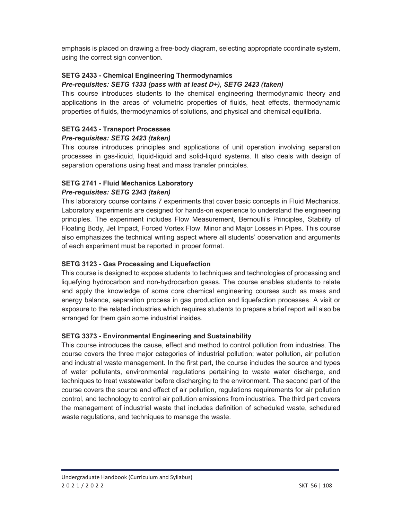emphasis is placed on drawing a free-body diagram, selecting appropriate coordinate system, using the correct sign convention.

# **SETG 2433 - Chemical Engineering Thermodynamics**

## *Pre-requisites: SETG 1333 (pass with at least D+), SETG 2423 (taken)*

This course introduces students to the chemical engineering thermodynamic theory and applications in the areas of volumetric properties of fluids, heat effects, thermodynamic properties of fluids, thermodynamics of solutions, and physical and chemical equilibria.

## **SETG 2443 - Transport Processes**  *Pre-requisites: SETG 2423 (taken)*

This course introduces principles and applications of unit operation involving separation processes in gas-liquid, liquid-liquid and solid-liquid systems. It also deals with design of separation operations using heat and mass transfer principles.

# **SETG 2741 - Fluid Mechanics Laboratory**

## *Pre-requisites: SETG 2343 (taken)*

This laboratory course contains 7 experiments that cover basic concepts in Fluid Mechanics. Laboratory experiments are designed for hands-on experience to understand the engineering principles. The experiment includes Flow Measurement, Bernoulli's Principles, Stability of Floating Body, Jet Impact, Forced Vortex Flow, Minor and Major Losses in Pipes. This course also emphasizes the technical writing aspect where all students' observation and arguments of each experiment must be reported in proper format.

# **SETG 3123 - Gas Processing and Liquefaction**

This course is designed to expose students to techniques and technologies of processing and liquefying hydrocarbon and non-hydrocarbon gases. The course enables students to relate and apply the knowledge of some core chemical engineering courses such as mass and energy balance, separation process in gas production and liquefaction processes. A visit or exposure to the related industries which requires students to prepare a brief report will also be arranged for them gain some industrial insides.

# **SETG 3373 - Environmental Engineering and Sustainability**

This course introduces the cause, effect and method to control pollution from industries. The course covers the three major categories of industrial pollution; water pollution, air pollution and industrial waste management. In the first part, the course includes the source and types of water pollutants, environmental regulations pertaining to waste water discharge, and techniques to treat wastewater before discharging to the environment. The second part of the course covers the source and effect of air pollution, regulations requirements for air pollution control, and technology to control air pollution emissions from industries. The third part covers the management of industrial waste that includes definition of scheduled waste, scheduled waste regulations, and techniques to manage the waste.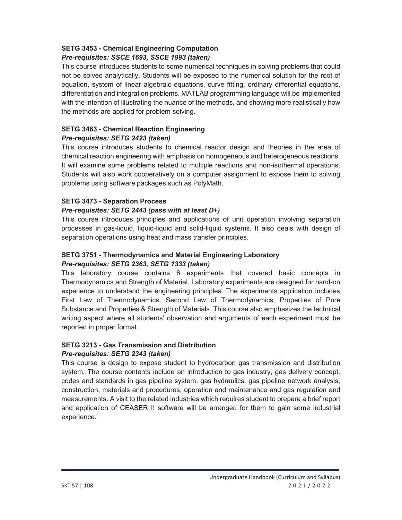#### **SETG 3453 - Chemical Engineering Computation**  *Pre-requisites: SSCE 1693, SSCE 1993 (taken)*

This course introduces students to some numerical techniques in solving problems that could not be solved analytically. Students will be exposed to the numerical solution for the root of equation, system of linear algebraic equations, curve fitting, ordinary differential equations, differentiation and integration problems. MATLAB programming language will be implemented with the intention of illustrating the nuance of the methods, and showing more realistically how the methods are applied for problem solving.

#### **SETG 3463 - Chemical Reaction Engineering**  *Pre-requisites: SETG 2423 (taken)*

This course introduces students to chemical reactor design and theories in the area of chemical reaction engineering with emphasis on homogeneous and heterogeneous reactions. It will examine some problems related to multiple reactions and non-isothermal operations. Students will also work cooperatively on a computer assignment to expose them to solving problems using software packages such as PolyMath.

# **SETG 3473 - Separation Process**

## *Pre-requisites: SETG 2443 (pass with at least D+)*

This course introduces principles and applications of unit operation involving separation processes in gas-liquid, liquid-liquid and solid-liquid systems. It also deals with design of separation operations using heat and mass transfer principles.

# **SETG 3751 - Thermodynamics and Material Engineering Laboratory**  *Pre-requisites: SETG 2363, SETG 1333 (taken)*

This laboratory course contains 6 experiments that covered basic concepts in Thermodynamics and Strength of Material. Laboratory experiments are designed for hand-on experience to understand the engineering principles. The experiments application includes First Law of Thermodynamics, Second Law of Thermodynamics, Properties of Pure Substance and Properties & Strength of Materials. This course also emphasizes the technical writing aspect where all students' observation and arguments of each experiment must be reported in proper format.

# **SETG 3213 - Gas Transmission and Distribution**

# *Pre-requisites: SETG 2343 (taken)*

This course is design to expose student to hydrocarbon gas transmission and distribution system. The course contents include an introduction to gas industry, gas delivery concept, codes and standards in gas pipeline system, gas hydraulics, gas pipeline network analysis, construction, materials and procedures, operation and maintenance and gas regulation and measurements. A visit to the related industries which requires student to prepare a brief report and application of CEASER II software will be arranged for them to gain some industrial experience.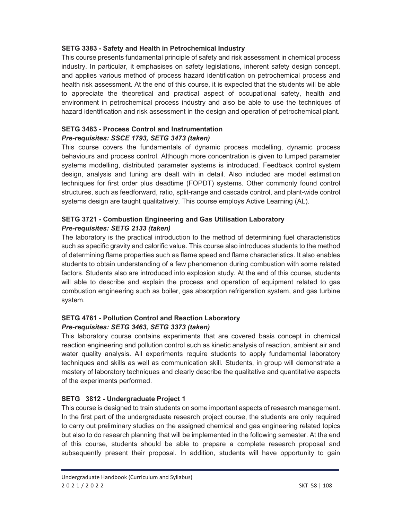#### **SETG 3383 - Safety and Health in Petrochemical Industry**

This course presents fundamental principle of safety and risk assessment in chemical process industry. In particular, it emphasises on safety legislations, inherent safety design concept, and applies various method of process hazard identification on petrochemical process and health risk assessment. At the end of this course, it is expected that the students will be able to appreciate the theoretical and practical aspect of occupational safety, health and environment in petrochemical process industry and also be able to use the techniques of hazard identification and risk assessment in the design and operation of petrochemical plant.

## **SETG 3483 - Process Control and Instrumentation**  *Pre-requisites: SSCE 1793, SETG 3473 (taken)*

This course covers the fundamentals of dynamic process modelling, dynamic process behaviours and process control. Although more concentration is given to lumped parameter systems modelling, distributed parameter systems is introduced. Feedback control system design, analysis and tuning are dealt with in detail. Also included are model estimation techniques for first order plus deadtime (FOPDT) systems. Other commonly found control structures, such as feedforward, ratio, split-range and cascade control, and plant-wide control systems design are taught qualitatively. This course employs Active Learning (AL).

# **SETG 3721 - Combustion Engineering and Gas Utilisation Laboratory**  *Pre-requisites: SETG 2133 (taken)*

The laboratory is the practical introduction to the method of determining fuel characteristics such as specific gravity and calorific value. This course also introduces students to the method of determining flame properties such as flame speed and flame characteristics. It also enables students to obtain understanding of a few phenomenon during combustion with some related factors. Students also are introduced into explosion study. At the end of this course, students will able to describe and explain the process and operation of equipment related to gas combustion engineering such as boiler, gas absorption refrigeration system, and gas turbine system.

# **SETG 4761 - Pollution Control and Reaction Laboratory**  *Pre-requisites: SETG 3463, SETG 3373 (taken)*

This laboratory course contains experiments that are covered basis concept in chemical reaction engineering and pollution control such as kinetic analysis of reaction, ambient air and water quality analysis. All experiments require students to apply fundamental laboratory techniques and skills as well as communication skill. Students, in group will demonstrate a mastery of laboratory techniques and clearly describe the qualitative and quantitative aspects of the experiments performed.

# **SETG 3812 - Undergraduate Project 1**

This course is designed to train students on some important aspects of research management. In the first part of the undergraduate research project course, the students are only required to carry out preliminary studies on the assigned chemical and gas engineering related topics but also to do research planning that will be implemented in the following semester. At the end of this course, students should be able to prepare a complete research proposal and subsequently present their proposal. In addition, students will have opportunity to gain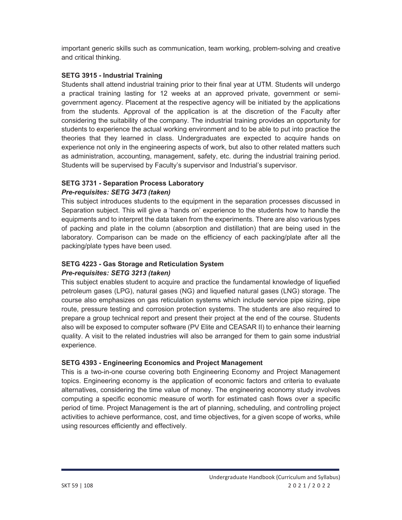important generic skills such as communication, team working, problem-solving and creative and critical thinking.

## **SETG 3915 - Industrial Training**

Students shall attend industrial training prior to their final year at UTM. Students will undergo a practical training lasting for 12 weeks at an approved private, government or semigovernment agency. Placement at the respective agency will be initiated by the applications from the students. Approval of the application is at the discretion of the Faculty after considering the suitability of the company. The industrial training provides an opportunity for students to experience the actual working environment and to be able to put into practice the theories that they learned in class. Undergraduates are expected to acquire hands on experience not only in the engineering aspects of work, but also to other related matters such as administration, accounting, management, safety, etc. during the industrial training period. Students will be supervised by Faculty's supervisor and Industrial's supervisor.

# **SETG 3731 - Separation Process Laboratory**

#### *Pre-requisites: SETG 3473 (taken)*

This subject introduces students to the equipment in the separation processes discussed in Separation subject. This will give a 'hands on' experience to the students how to handle the equipments and to interpret the data taken from the experiments. There are also various types of packing and plate in the column (absorption and distillation) that are being used in the laboratory. Comparison can be made on the efficiency of each packing/plate after all the packing/plate types have been used.

#### **SETG 4223 - Gas Storage and Reticulation System**  *Pre-requisites: SETG 3213 (taken)*

This subject enables student to acquire and practice the fundamental knowledge of liquefied petroleum gases (LPG), natural gases (NG) and liquefied natural gases (LNG) storage. The course also emphasizes on gas reticulation systems which include service pipe sizing, pipe route, pressure testing and corrosion protection systems. The students are also required to prepare a group technical report and present their project at the end of the course. Students also will be exposed to computer software (PV Elite and CEASAR II) to enhance their learning quality. A visit to the related industries will also be arranged for them to gain some industrial experience.

## **SETG 4393 - Engineering Economics and Project Management**

This is a two-in-one course covering both Engineering Economy and Project Management topics. Engineering economy is the application of economic factors and criteria to evaluate alternatives, considering the time value of money. The engineering economy study involves computing a specific economic measure of worth for estimated cash flows over a specific period of time. Project Management is the art of planning, scheduling, and controlling project activities to achieve performance, cost, and time objectives, for a given scope of works, while using resources efficiently and effectively.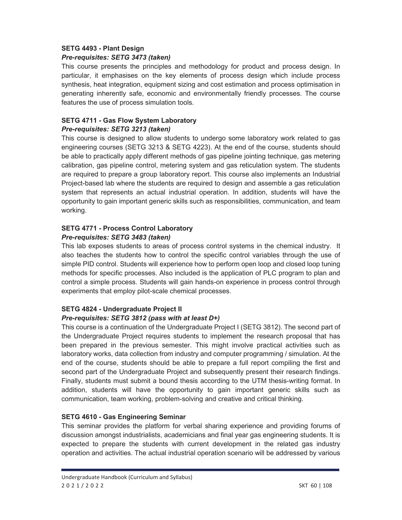#### **SETG 4493 - Plant Design**  *Pre-requisites: SETG 3473 (taken)*

This course presents the principles and methodology for product and process design. In particular, it emphasises on the key elements of process design which include process synthesis, heat integration, equipment sizing and cost estimation and process optimisation in generating inherently safe, economic and environmentally friendly processes. The course features the use of process simulation tools.

## **SETG 4711 - Gas Flow System Laboratory**

#### *Pre-requisites: SETG 3213 (taken)*

This course is designed to allow students to undergo some laboratory work related to gas engineering courses (SETG 3213 & SETG 4223). At the end of the course, students should be able to practically apply different methods of gas pipeline jointing technique, gas metering calibration, gas pipeline control, metering system and gas reticulation system. The students are required to prepare a group laboratory report. This course also implements an Industrial Project-based lab where the students are required to design and assemble a gas reticulation system that represents an actual industrial operation. In addition, students will have the opportunity to gain important generic skills such as responsibilities, communication, and team working.

# **SETG 4771 - Process Control Laboratory**

#### *Pre-requisites: SETG 3483 (taken)*

This lab exposes students to areas of process control systems in the chemical industry. It also teaches the students how to control the specific control variables through the use of simple PID control. Students will experience how to perform open loop and closed loop tuning methods for specific processes. Also included is the application of PLC program to plan and control a simple process. Students will gain hands-on experience in process control through experiments that employ pilot-scale chemical processes.

## **SETG 4824 - Undergraduate Project II**

## *Pre-requisites: SETG 3812 (pass with at least D+)*

This course is a continuation of the Undergraduate Project I (SETG 3812). The second part of the Undergraduate Project requires students to implement the research proposal that has been prepared in the previous semester. This might involve practical activities such as laboratory works, data collection from industry and computer programming / simulation. At the end of the course, students should be able to prepare a full report compiling the first and second part of the Undergraduate Project and subsequently present their research findings. Finally, students must submit a bound thesis according to the UTM thesis-writing format. In addition, students will have the opportunity to gain important generic skills such as communication, team working, problem-solving and creative and critical thinking.

## **SETG 4610 - Gas Engineering Seminar**

This seminar provides the platform for verbal sharing experience and providing forums of discussion amongst industrialists, academicians and final year gas engineering students. It is expected to prepare the students with current development in the related gas industry operation and activities. The actual industrial operation scenario will be addressed by various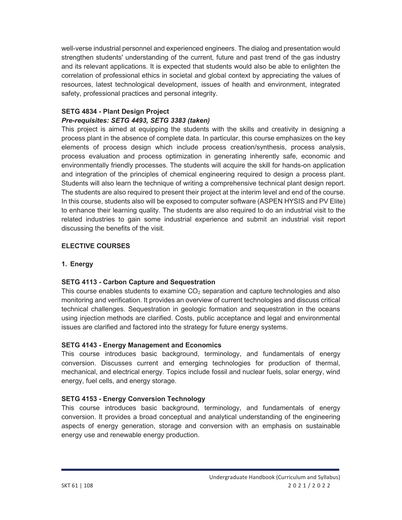well-verse industrial personnel and experienced engineers. The dialog and presentation would strengthen students' understanding of the current, future and past trend of the gas industry and its relevant applications. It is expected that students would also be able to enlighten the correlation of professional ethics in societal and global context by appreciating the values of resources, latest technological development, issues of health and environment, integrated safety, professional practices and personal integrity.

#### **SETG 4834 - Plant Design Project**  *Pre-requisites: SETG 4493, SETG 3383 (taken)*

This project is aimed at equipping the students with the skills and creativity in designing a process plant in the absence of complete data. In particular, this course emphasizes on the key elements of process design which include process creation/synthesis, process analysis, process evaluation and process optimization in generating inherently safe, economic and environmentally friendly processes. The students will acquire the skill for hands-on application and integration of the principles of chemical engineering required to design a process plant. Students will also learn the technique of writing a comprehensive technical plant design report. The students are also required to present their project at the interim level and end of the course. In this course, students also will be exposed to computer software (ASPEN HYSIS and PV Elite) to enhance their learning quality. The students are also required to do an industrial visit to the related industries to gain some industrial experience and submit an industrial visit report discussing the benefits of the visit.

## **ELECTIVE COURSES**

#### **1. Energy**

#### **SETG 4113 - Carbon Capture and Sequestration**

This course enables students to examine  $CO<sub>2</sub>$  separation and capture technologies and also monitoring and verification. It provides an overview of current technologies and discuss critical technical challenges. Sequestration in geologic formation and sequestration in the oceans using injection methods are clarified. Costs, public acceptance and legal and environmental issues are clarified and factored into the strategy for future energy systems.

## **SETG 4143 - Energy Management and Economics**

This course introduces basic background, terminology, and fundamentals of energy conversion. Discusses current and emerging technologies for production of thermal, mechanical, and electrical energy. Topics include fossil and nuclear fuels, solar energy, wind energy, fuel cells, and energy storage.

## **SETG 4153 - Energy Conversion Technology**

This course introduces basic background, terminology, and fundamentals of energy conversion. It provides a broad conceptual and analytical understanding of the engineering aspects of energy generation, storage and conversion with an emphasis on sustainable energy use and renewable energy production.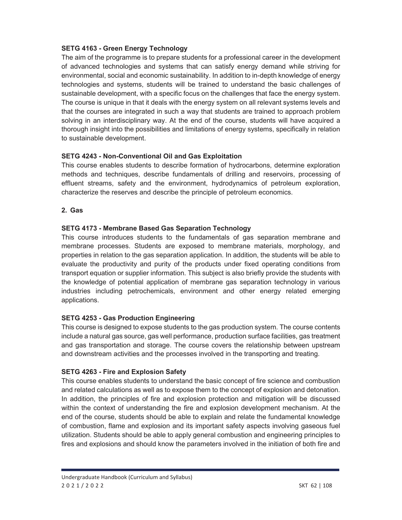## **SETG 4163 - Green Energy Technology**

The aim of the programme is to prepare students for a professional career in the development of advanced technologies and systems that can satisfy energy demand while striving for environmental, social and economic sustainability. In addition to in-depth knowledge of energy technologies and systems, students will be trained to understand the basic challenges of sustainable development, with a specific focus on the challenges that face the energy system. The course is unique in that it deals with the energy system on all relevant systems levels and that the courses are integrated in such a way that students are trained to approach problem solving in an interdisciplinary way. At the end of the course, students will have acquired a thorough insight into the possibilities and limitations of energy systems, specifically in relation to sustainable development.

# **SETG 4243 - Non-Conventional Oil and Gas Exploitation**

This course enables students to describe formation of hydrocarbons, determine exploration methods and techniques, describe fundamentals of drilling and reservoirs, processing of effluent streams, safety and the environment, hydrodynamics of petroleum exploration, characterize the reserves and describe the principle of petroleum economics.

# **2. Gas**

# **SETG 4173 - Membrane Based Gas Separation Technology**

This course introduces students to the fundamentals of gas separation membrane and membrane processes. Students are exposed to membrane materials, morphology, and properties in relation to the gas separation application. In addition, the students will be able to evaluate the productivity and purity of the products under fixed operating conditions from transport equation or supplier information. This subject is also briefly provide the students with the knowledge of potential application of membrane gas separation technology in various industries including petrochemicals, environment and other energy related emerging applications.

# **SETG 4253 - Gas Production Engineering**

This course is designed to expose students to the gas production system. The course contents include a natural gas source, gas well performance, production surface facilities, gas treatment and gas transportation and storage. The course covers the relationship between upstream and downstream activities and the processes involved in the transporting and treating.

# **SETG 4263 - Fire and Explosion Safety**

This course enables students to understand the basic concept of fire science and combustion and related calculations as well as to expose them to the concept of explosion and detonation. In addition, the principles of fire and explosion protection and mitigation will be discussed within the context of understanding the fire and explosion development mechanism. At the end of the course, students should be able to explain and relate the fundamental knowledge of combustion, flame and explosion and its important safety aspects involving gaseous fuel utilization. Students should be able to apply general combustion and engineering principles to fires and explosions and should know the parameters involved in the initiation of both fire and